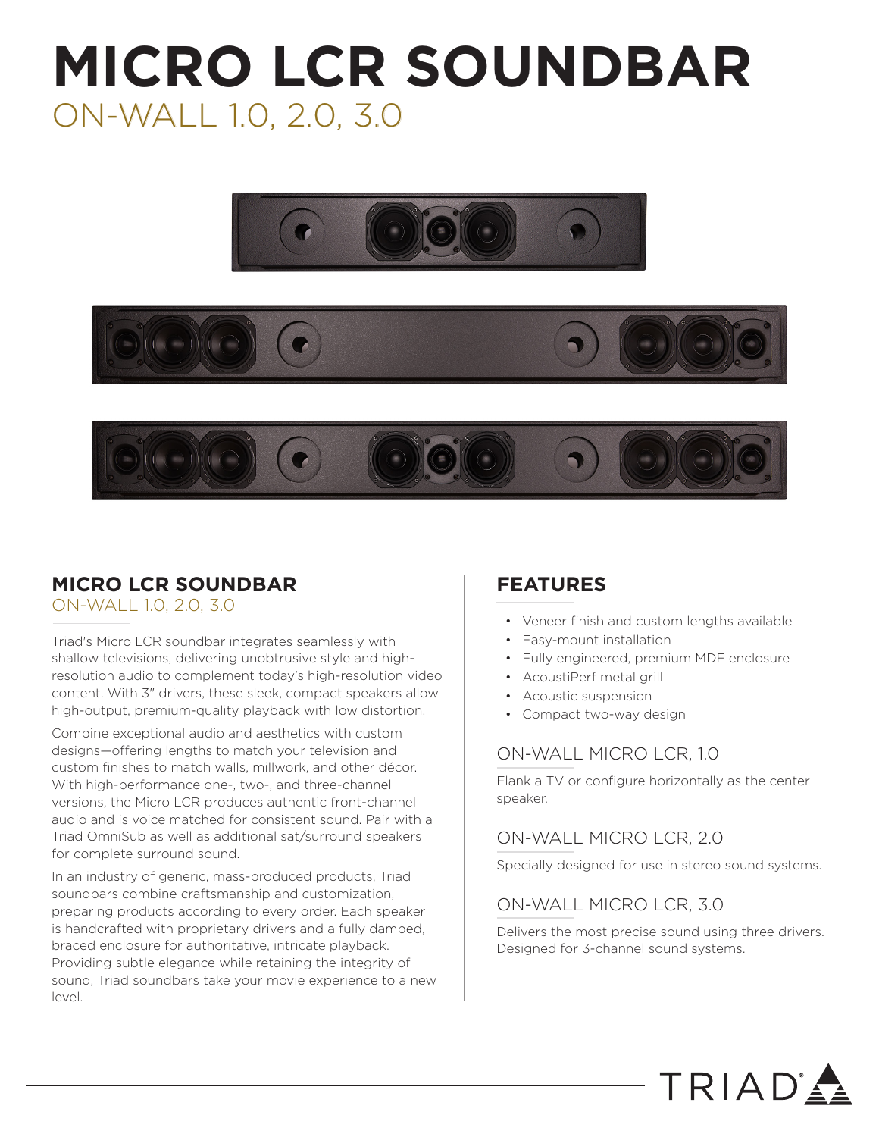## **MICRO LCR SOUNDBAR** ON-WALL 1.0, 2.0, 3.0







## **MICRO LCR SOUNDBAR**

ON-WALL 1.0, 2.0, 3.0

Triad's Micro LCR soundbar integrates seamlessly with shallow televisions, delivering unobtrusive style and highresolution audio to complement today's high-resolution video content. With 3" drivers, these sleek, compact speakers allow high-output, premium-quality playback with low distortion.

Combine exceptional audio and aesthetics with custom designs—offering lengths to match your television and custom finishes to match walls, millwork, and other décor. With high-performance one-, two-, and three-channel versions, the Micro LCR produces authentic front-channel audio and is voice matched for consistent sound. Pair with a Triad OmniSub as well as additional sat/surround speakers for complete surround sound.

In an industry of generic, mass-produced products, Triad soundbars combine craftsmanship and customization, preparing products according to every order. Each speaker is handcrafted with proprietary drivers and a fully damped, braced enclosure for authoritative, intricate playback. Providing subtle elegance while retaining the integrity of sound, Triad soundbars take your movie experience to a new level.

## **FEATURES**

- Veneer finish and custom lengths available
- Easy-mount installation
- Fully engineered, premium MDF enclosure
- AcoustiPerf metal grill
- Acoustic suspension
- Compact two-way design

## ON-WALL MICRO LCR, 1.0

Flank a TV or configure horizontally as the center speaker.

## ON-WALL MICRO LCR, 2.0

Specially designed for use in stereo sound systems.

## ON-WALL MICRO LCR, 3.0

Delivers the most precise sound using three drivers. Designed for 3-channel sound systems.